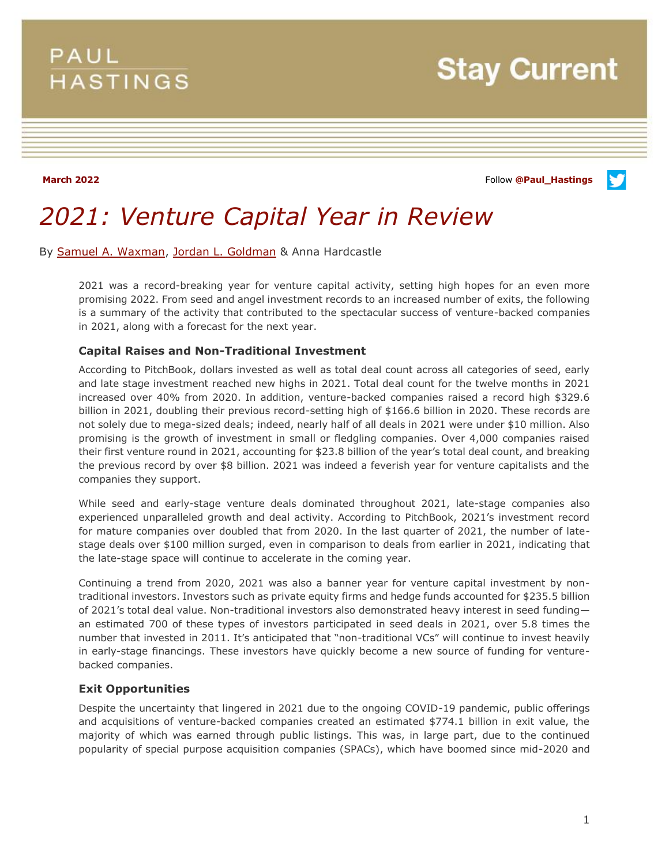## **PAUL HASTINGS**

**Stay Current** 

**March 2022** Follow **[@Paul\\_Hastings](http://twitter.com/Paul_Hastings)**

V

# *2021: Venture Capital Year in Review*

By [Samuel A. Waxman,](https://www.paulhastings.com/professionals/samuelwaxman) [Jordan L. Goldman](https://www.paulhastings.com/professionals/jordangoldman) & Anna Hardcastle

2021 was a record-breaking year for venture capital activity, setting high hopes for an even more promising 2022. From seed and angel investment records to an increased number of exits, the following is a summary of the activity that contributed to the spectacular success of venture-backed companies in 2021, along with a forecast for the next year.

### **Capital Raises and Non-Traditional Investment**

According to PitchBook, dollars invested as well as total deal count across all categories of seed, early and late stage investment reached new highs in 2021. Total deal count for the twelve months in 2021 increased over 40% from 2020. In addition, venture-backed companies raised a record high \$329.6 billion in 2021, doubling their previous record-setting high of \$166.6 billion in 2020. These records are not solely due to mega-sized deals; indeed, nearly half of all deals in 2021 were under \$10 million. Also promising is the growth of investment in small or fledgling companies. Over 4,000 companies raised their first venture round in 2021, accounting for \$23.8 billion of the year's total deal count, and breaking the previous record by over \$8 billion. 2021 was indeed a feverish year for venture capitalists and the companies they support.

While seed and early-stage venture deals dominated throughout 2021, late-stage companies also experienced unparalleled growth and deal activity. According to PitchBook, 2021's investment record for mature companies over doubled that from 2020. In the last quarter of 2021, the number of latestage deals over \$100 million surged, even in comparison to deals from earlier in 2021, indicating that the late-stage space will continue to accelerate in the coming year.

Continuing a trend from 2020, 2021 was also a banner year for venture capital investment by nontraditional investors. Investors such as private equity firms and hedge funds accounted for \$235.5 billion of 2021's total deal value. Non-traditional investors also demonstrated heavy interest in seed funding an estimated 700 of these types of investors participated in seed deals in 2021, over 5.8 times the number that invested in 2011. It's anticipated that "non-traditional VCs" will continue to invest heavily in early-stage financings. These investors have quickly become a new source of funding for venturebacked companies.

#### **Exit Opportunities**

Despite the uncertainty that lingered in 2021 due to the ongoing COVID-19 pandemic, public offerings and acquisitions of venture-backed companies created an estimated \$774.1 billion in exit value, the majority of which was earned through public listings. This was, in large part, due to the continued popularity of special purpose acquisition companies (SPACs), which have boomed since mid-2020 and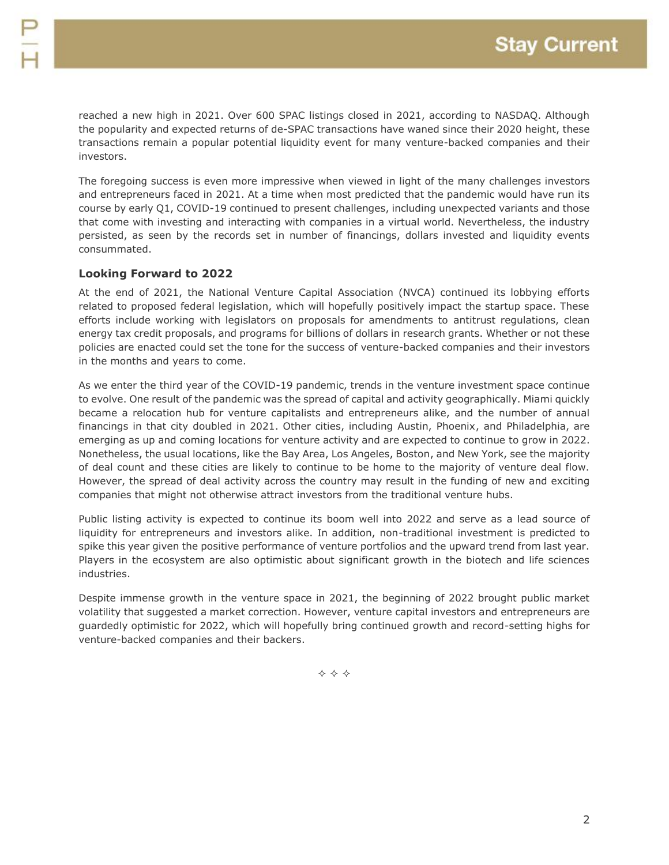reached a new high in 2021. Over 600 SPAC listings closed in 2021, according to NASDAQ. Although the popularity and expected returns of de-SPAC transactions have waned since their 2020 height, these transactions remain a popular potential liquidity event for many venture-backed companies and their investors.

The foregoing success is even more impressive when viewed in light of the many challenges investors and entrepreneurs faced in 2021. At a time when most predicted that the pandemic would have run its course by early Q1, COVID-19 continued to present challenges, including unexpected variants and those that come with investing and interacting with companies in a virtual world. Nevertheless, the industry persisted, as seen by the records set in number of financings, dollars invested and liquidity events consummated.

#### **Looking Forward to 2022**

At the end of 2021, the National Venture Capital Association (NVCA) continued its lobbying efforts related to proposed federal legislation, which will hopefully positively impact the startup space. These efforts include working with legislators on proposals for amendments to antitrust regulations, clean energy tax credit proposals, and programs for billions of dollars in research grants. Whether or not these policies are enacted could set the tone for the success of venture-backed companies and their investors in the months and years to come.

As we enter the third year of the COVID-19 pandemic, trends in the venture investment space continue to evolve. One result of the pandemic was the spread of capital and activity geographically. Miami quickly became a relocation hub for venture capitalists and entrepreneurs alike, and the number of annual financings in that city doubled in 2021. Other cities, including Austin, Phoenix, and Philadelphia, are emerging as up and coming locations for venture activity and are expected to continue to grow in 2022. Nonetheless, the usual locations, like the Bay Area, Los Angeles, Boston, and New York, see the majority of deal count and these cities are likely to continue to be home to the majority of venture deal flow. However, the spread of deal activity across the country may result in the funding of new and exciting companies that might not otherwise attract investors from the traditional venture hubs.

Public listing activity is expected to continue its boom well into 2022 and serve as a lead source of liquidity for entrepreneurs and investors alike. In addition, non-traditional investment is predicted to spike this year given the positive performance of venture portfolios and the upward trend from last year. Players in the ecosystem are also optimistic about significant growth in the biotech and life sciences industries.

Despite immense growth in the venture space in 2021, the beginning of 2022 brought public market volatility that suggested a market correction. However, venture capital investors and entrepreneurs are guardedly optimistic for 2022, which will hopefully bring continued growth and record-setting highs for venture-backed companies and their backers.

 $\Leftrightarrow$   $\Leftrightarrow$   $\Leftrightarrow$